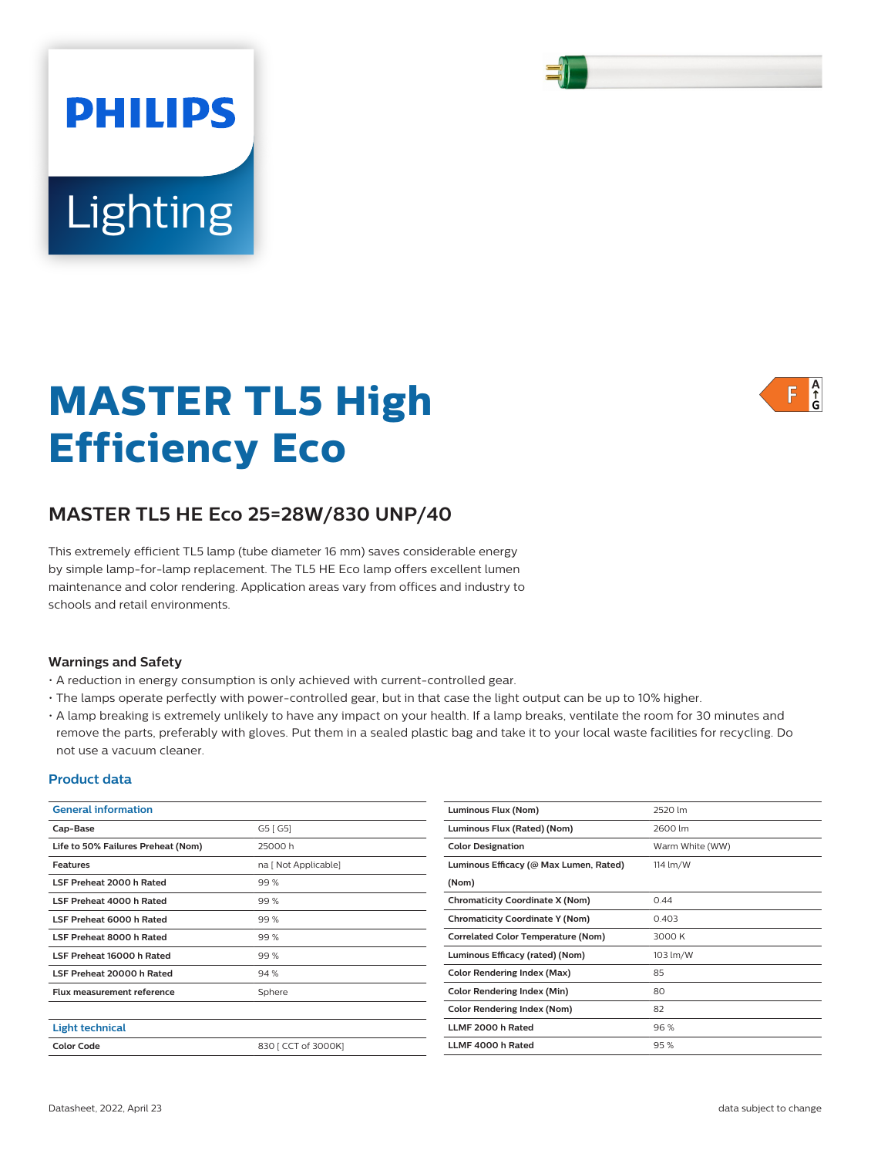Lighting

**PHILIPS** 

# **MASTER TL5 High Efficiency Eco**

# **MASTER TL5 HE Eco 25=28W/830 UNP/40**

This extremely efficient TL5 lamp (tube diameter 16 mm) saves considerable energy by simple lamp-for-lamp replacement. The TL5 HE Eco lamp offers excellent lumen maintenance and color rendering. Application areas vary from offices and industry to schools and retail environments.

### **Warnings and Safety**

- A reduction in energy consumption is only achieved with current-controlled gear.
- The lamps operate perfectly with power-controlled gear, but in that case the light output can be up to 10% higher.
- A lamp breaking is extremely unlikely to have any impact on your health. If a lamp breaks, ventilate the room for 30 minutes and remove the parts, preferably with gloves. Put them in a sealed plastic bag and take it to your local waste facilities for recycling. Do not use a vacuum cleaner.

### **Product data**

| <b>General information</b>         |                      | Luminous Flux (Nom)                       | 2520 lm         |
|------------------------------------|----------------------|-------------------------------------------|-----------------|
| Cap-Base                           | G5 [G5]              | Luminous Flux (Rated) (Nom)               | 2600 lm         |
| Life to 50% Failures Preheat (Nom) | 25000h               | <b>Color Designation</b>                  | Warm White (WW) |
| <b>Features</b>                    | na [ Not Applicable] | Luminous Efficacy (@ Max Lumen, Rated)    | 114 lm/W        |
| LSF Preheat 2000 h Rated           | 99%                  | (Nom)                                     |                 |
| LSF Preheat 4000 h Rated           | 99 %                 | <b>Chromaticity Coordinate X (Nom)</b>    | 0.44            |
| LSF Preheat 6000 h Rated           | 99 %                 | <b>Chromaticity Coordinate Y (Nom)</b>    | 0.403           |
| LSF Preheat 8000 h Rated           | 99%                  | <b>Correlated Color Temperature (Nom)</b> | 3000 K          |
| LSF Preheat 16000 h Rated          | 99 %                 | Luminous Efficacy (rated) (Nom)           | 103 lm/W        |
| LSF Preheat 20000 h Rated          | 94 %                 | <b>Color Rendering Index (Max)</b>        | 85              |
| <b>Flux measurement reference</b>  | Sphere               | <b>Color Rendering Index (Min)</b>        | 80              |
|                                    |                      | Color Rendering Index (Nom)               | 82              |
| <b>Light technical</b>             |                      | LLMF 2000 h Rated                         | 96%             |
| <b>Color Code</b>                  | 830   CCT of 3000K]  | LLMF 4000 h Rated                         | 95%             |
|                                    |                      |                                           |                 |



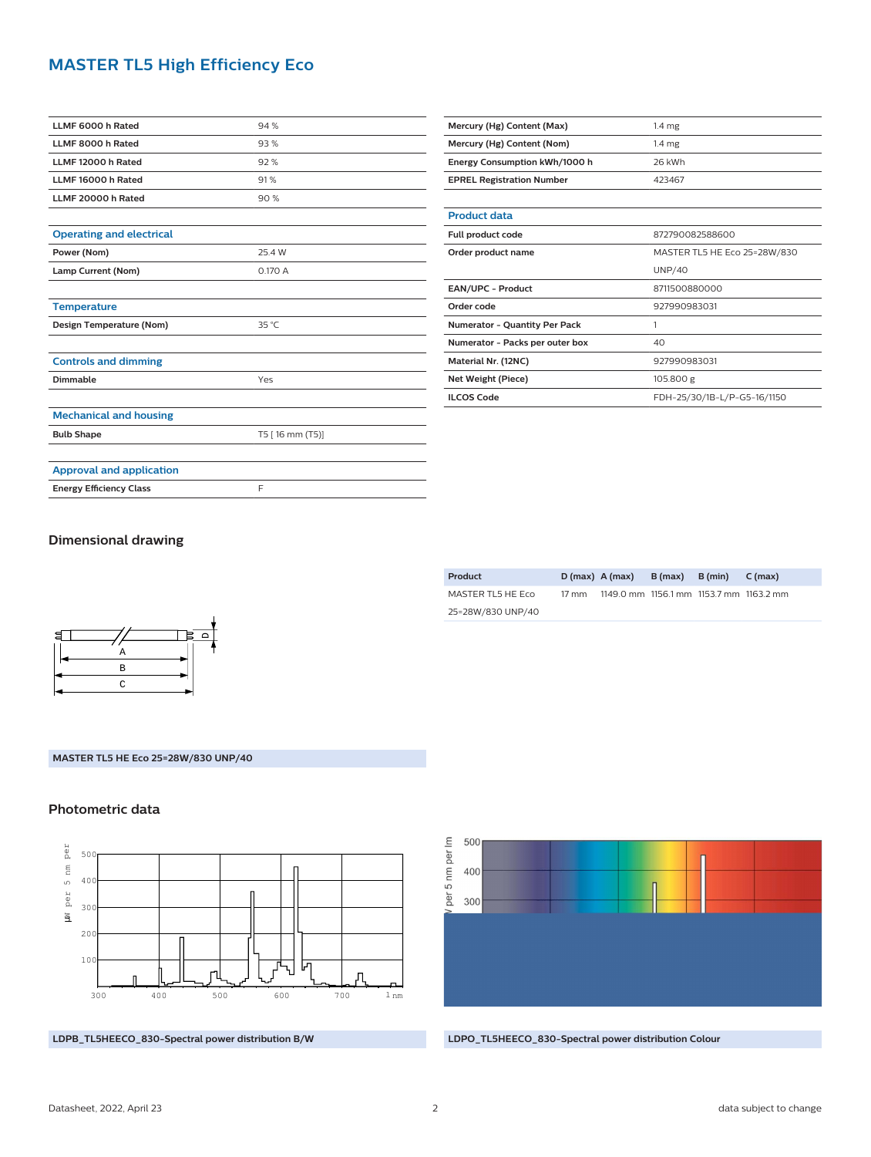# **MASTER TL5 High Efficiency Eco**

| LLMF 6000 h Rated               | 94%             |  |  |  |
|---------------------------------|-----------------|--|--|--|
| LLMF 8000 h Rated               | 93%             |  |  |  |
| LLMF 12000 h Rated              | 92%             |  |  |  |
| LLMF 16000 h Rated              | 91%             |  |  |  |
| LLMF 20000 h Rated              | 90%             |  |  |  |
|                                 |                 |  |  |  |
| <b>Operating and electrical</b> |                 |  |  |  |
| Power (Nom)                     | 25.4 W          |  |  |  |
| Lamp Current (Nom)              | 0.170 A         |  |  |  |
|                                 |                 |  |  |  |
| <b>Temperature</b>              |                 |  |  |  |
| Design Temperature (Nom)        | 35 °C           |  |  |  |
|                                 |                 |  |  |  |
| <b>Controls and dimming</b>     |                 |  |  |  |
| Dimmable                        | Yes             |  |  |  |
|                                 |                 |  |  |  |
| <b>Mechanical and housing</b>   |                 |  |  |  |
| <b>Bulb Shape</b>               | T5 [16 mm (T5)] |  |  |  |
|                                 |                 |  |  |  |
| <b>Approval and application</b> |                 |  |  |  |
| <b>Energy Efficiency Class</b>  | F               |  |  |  |

| Mercury (Hg) Content (Max)       | 1.4 <sub>mg</sub>            |  |  |  |
|----------------------------------|------------------------------|--|--|--|
| Mercury (Hg) Content (Nom)       | 1.4 <sub>mg</sub>            |  |  |  |
| Energy Consumption kWh/1000 h    | 26 kWh                       |  |  |  |
| <b>EPREL Registration Number</b> | 423467                       |  |  |  |
|                                  |                              |  |  |  |
| <b>Product data</b>              |                              |  |  |  |
| Full product code                | 872790082588600              |  |  |  |
| Order product name               | MASTER TL5 HE Eco 25=28W/830 |  |  |  |
|                                  |                              |  |  |  |
|                                  | UNP/40                       |  |  |  |
| <b>EAN/UPC - Product</b>         | 8711500880000                |  |  |  |
| Order code                       | 927990983031                 |  |  |  |
| Numerator - Quantity Per Pack    | 1                            |  |  |  |
| Numerator - Packs per outer box  | 40                           |  |  |  |
| Material Nr. (12NC)              | 927990983031                 |  |  |  |
| Net Weight (Piece)               | 105.800 g                    |  |  |  |

# **Dimensional drawing**



| Product           |       | $D(max)$ A (max)                        | $B(max)$ $B(min)$ | C(max) |
|-------------------|-------|-----------------------------------------|-------------------|--------|
| MASTER TL5 HE ECO | 17 mm | 1149.0 mm 1156.1 mm 1153.7 mm 1163.2 mm |                   |        |
| 25=28W/830 UNP/40 |       |                                         |                   |        |
|                   |       |                                         |                   |        |

# **MASTER TL5 HE Eco 25=28W/830 UNP/40**

### **Photometric data**



**LDPB\_TL5HEECO\_830-Spectral power distribution B/W LDPO\_TL5HEECO\_830-Spectral power distribution Colour**